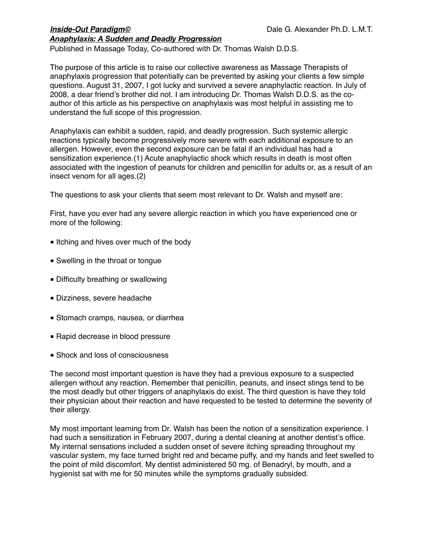Published in Massage Today, Co-authored with Dr. Thomas Walsh D.D.S.

The purpose of this article is to raise our collective awareness as Massage Therapists of anaphylaxis progression that potentially can be prevented by asking your clients a few simple questions. August 31, 2007, I got lucky and survived a severe anaphylactic reaction. In July of 2008, a dear friend's brother did not. I am introducing Dr. Thomas Walsh D.D.S. as the coauthor of this article as his perspective on anaphylaxis was most helpful in assisting me to understand the full scope of this progression.

Anaphylaxis can exhibit a sudden, rapid, and deadly progression. Such systemic allergic reactions typically become progressively more severe with each additional exposure to an allergen. However, even the second exposure can be fatal if an individual has had a sensitization experience.(1) Acute anaphylactic shock which results in death is most often associated with the ingestion of peanuts for children and penicillin for adults or, as a result of an insect venom for all ages.(2)

The questions to ask your clients that seem most relevant to Dr. Walsh and myself are:

First, have you ever had any severe allergic reaction in which you have experienced one or more of the following:

- Itching and hives over much of the body
- Swelling in the throat or tongue
- Difficulty breathing or swallowing
- Dizziness, severe headache
- Stomach cramps, nausea, or diarrhea
- Rapid decrease in blood pressure
- Shock and loss of consciousness

The second most important question is have they had a previous exposure to a suspected allergen without any reaction. Remember that penicillin, peanuts, and insect stings tend to be the most deadly but other triggers of anaphylaxis do exist. The third question is have they told their physician about their reaction and have requested to be tested to determine the severity of their allergy.

My most important learning from Dr. Walsh has been the notion of a sensitization experience. I had such a sensitization in February 2007, during a dental cleaning at another dentist's office. My internal sensations included a sudden onset of severe itching spreading throughout my vascular system, my face turned bright red and became puffy, and my hands and feet swelled to the point of mild discomfort. My dentist administered 50 mg. of Benadryl, by mouth, and a hygienist sat with me for 50 minutes while the symptoms gradually subsided.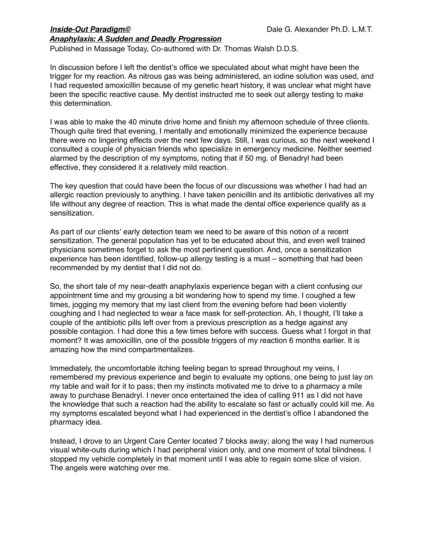Published in Massage Today, Co-authored with Dr. Thomas Walsh D.D.S.

In discussion before I left the dentist's office we speculated about what might have been the trigger for my reaction. As nitrous gas was being administered, an iodine solution was used, and I had requested amoxicillin because of my genetic heart history, it was unclear what might have been the specific reactive cause. My dentist instructed me to seek out allergy testing to make this determination.

I was able to make the 40 minute drive home and finish my afternoon schedule of three clients. Though quite tired that evening, I mentally and emotionally minimized the experience because there were no lingering effects over the next few days. Still, I was curious, so the next weekend I consulted a couple of physician friends who specialize in emergency medicine. Neither seemed alarmed by the description of my symptoms, noting that if 50 mg. of Benadryl had been effective, they considered it a relatively mild reaction.

The key question that could have been the focus of our discussions was whether I had had an allergic reaction previously to anything. I have taken penicillin and its antibiotic derivatives all my life without any degree of reaction. This is what made the dental office experience qualify as a sensitization.

As part of our clients' early detection team we need to be aware of this notion of a recent sensitization. The general population has yet to be educated about this, and even well trained physicians sometimes forget to ask the most pertinent question. And, once a sensitization experience has been identified, follow-up allergy testing is a must – something that had been recommended by my dentist that I did not do.

So, the short tale of my near-death anaphylaxis experience began with a client confusing our appointment time and my grousing a bit wondering how to spend my time. I coughed a few times, jogging my memory that my last client from the evening before had been violently coughing and I had neglected to wear a face mask for self-protection. Ah, I thought, I'll take a couple of the antibiotic pills left over from a previous prescription as a hedge against any possible contagion. I had done this a few times before with success. Guess what I forgot in that moment? It was amoxicillin, one of the possible triggers of my reaction 6 months earlier. It is amazing how the mind compartmentalizes.

Immediately, the uncomfortable itching feeling began to spread throughout my veins, I remembered my previous experience and begin to evaluate my options, one being to just lay on my table and wait for it to pass; then my instincts motivated me to drive to a pharmacy a mile away to purchase Benadryl. I never once entertained the idea of calling 911 as I did not have the knowledge that such a reaction had the ability to escalate so fast or actually could kill me. As my symptoms escalated beyond what I had experienced in the dentist's office I abandoned the pharmacy idea.

Instead, I drove to an Urgent Care Center located 7 blocks away; along the way I had numerous visual white-outs during which I had peripheral vision only, and one moment of total blindness. I stopped my vehicle completely in that moment until I was able to regain some slice of vision. The angels were watching over me.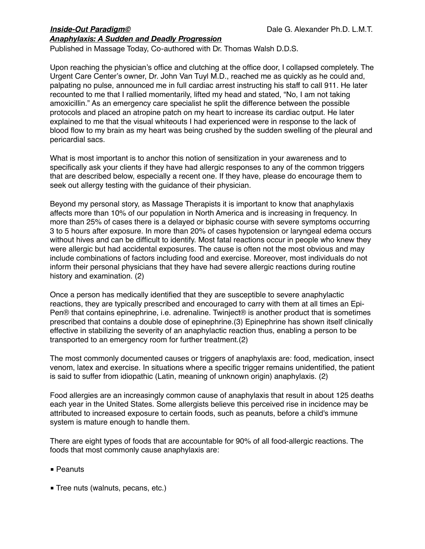Published in Massage Today, Co-authored with Dr. Thomas Walsh D.D.S.

Upon reaching the physician's office and clutching at the office door, I collapsed completely. The Urgent Care Center's owner, Dr. John Van Tuyl M.D., reached me as quickly as he could and, palpating no pulse, announced me in full cardiac arrest instructing his staff to call 911. He later recounted to me that I rallied momentarily, lifted my head and stated, "No, I am not taking amoxicillin." As an emergency care specialist he split the difference between the possible protocols and placed an atropine patch on my heart to increase its cardiac output. He later explained to me that the visual whiteouts I had experienced were in response to the lack of blood flow to my brain as my heart was being crushed by the sudden swelling of the pleural and pericardial sacs.

What is most important is to anchor this notion of sensitization in your awareness and to specifically ask your clients if they have had allergic responses to any of the common triggers that are described below, especially a recent one. If they have, please do encourage them to seek out allergy testing with the guidance of their physician.

Beyond my personal story, as Massage Therapists it is important to know that anaphylaxis affects more than 10% of our population in North America and is increasing in frequency. In more than 25% of cases there is a delayed or biphasic course with severe symptoms occurring 3 to 5 hours after exposure. In more than 20% of cases hypotension or laryngeal edema occurs without hives and can be difficult to identify. Most fatal reactions occur in people who knew they were allergic but had accidental exposures. The cause is often not the most obvious and may include combinations of factors including food and exercise. Moreover, most individuals do not inform their personal physicians that they have had severe allergic reactions during routine history and examination. (2)

Once a person has medically identified that they are susceptible to severe anaphylactic reactions, they are typically prescribed and encouraged to carry with them at all times an Epi-Pen® that contains epinephrine, i.e. adrenaline. Twinject® is another product that is sometimes prescribed that contains a double dose of epinephrine.(3) Epinephrine has shown itself clinically effective in stabilizing the severity of an anaphylactic reaction thus, enabling a person to be transported to an emergency room for further treatment.(2)

The most commonly documented causes or triggers of anaphylaxis are: food, medication, insect venom, latex and exercise. In situations where a specific trigger remains unidentified, the patient is said to suffer from idiopathic (Latin, meaning of unknown origin) anaphylaxis. (2)

Food allergies are an increasingly common cause of anaphylaxis that result in about 125 deaths each year in the United States. Some allergists believe this perceived rise in incidence may be attributed to increased exposure to certain foods, such as peanuts, before a child's immune system is mature enough to handle them.

There are eight types of foods that are accountable for 90% of all food-allergic reactions. The foods that most commonly cause anaphylaxis are:

- Peanuts
- Tree nuts (walnuts, pecans, etc.)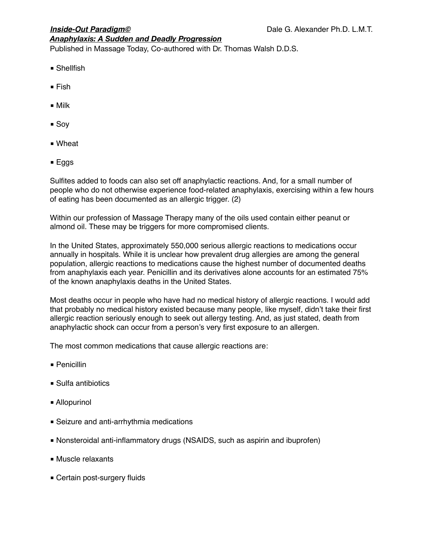Published in Massage Today, Co-authored with Dr. Thomas Walsh D.D.S.

- Shellfish
- Fish
- Milk
- Soy
- Wheat
- Eggs

Sulfites added to foods can also set off anaphylactic reactions. And, for a small number of people who do not otherwise experience food-related anaphylaxis, exercising within a few hours of eating has been documented as an allergic trigger. (2)

Within our profession of Massage Therapy many of the oils used contain either peanut or almond oil. These may be triggers for more compromised clients.

In the United States, approximately 550,000 serious allergic reactions to medications occur annually in hospitals. While it is unclear how prevalent drug allergies are among the general population, allergic reactions to medications cause the highest number of documented deaths from anaphylaxis each year. Penicillin and its derivatives alone accounts for an estimated 75% of the known anaphylaxis deaths in the United States.

Most deaths occur in people who have had no medical history of allergic reactions. I would add that probably no medical history existed because many people, like myself, didn't take their first allergic reaction seriously enough to seek out allergy testing. And, as just stated, death from anaphylactic shock can occur from a person's very first exposure to an allergen.

The most common medications that cause allergic reactions are:

- Penicillin
- Sulfa antibiotics
- Allopurinol
- Seizure and anti-arrhythmia medications
- Nonsteroidal anti-inflammatory drugs (NSAIDS, such as aspirin and ibuprofen)
- Muscle relaxants
- Certain post-surgery fluids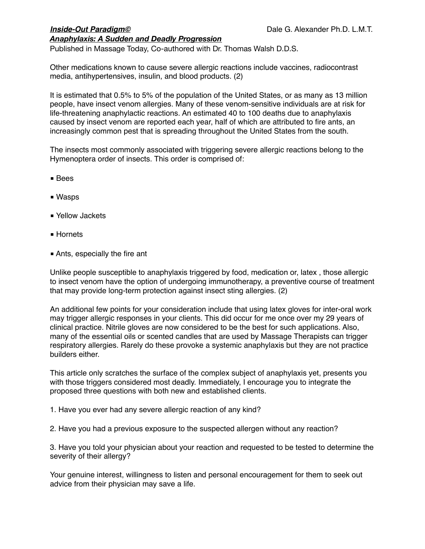Published in Massage Today, Co-authored with Dr. Thomas Walsh D.D.S.

Other medications known to cause severe allergic reactions include vaccines, radiocontrast media, antihypertensives, insulin, and blood products. (2)

It is estimated that 0.5% to 5% of the population of the United States, or as many as 13 million people, have insect venom allergies. Many of these venom-sensitive individuals are at risk for life-threatening anaphylactic reactions. An estimated 40 to 100 deaths due to anaphylaxis caused by insect venom are reported each year, half of which are attributed to fire ants, an increasingly common pest that is spreading throughout the United States from the south.

The insects most commonly associated with triggering severe allergic reactions belong to the Hymenoptera order of insects. This order is comprised of:

- Bees
- Wasps
- Yellow Jackets
- Hornets
- Ants, especially the fire ant

Unlike people susceptible to anaphylaxis triggered by food, medication or, latex , those allergic to insect venom have the option of undergoing immunotherapy, a preventive course of treatment that may provide long-term protection against insect sting allergies. (2)

An additional few points for your consideration include that using latex gloves for inter-oral work may trigger allergic responses in your clients. This did occur for me once over my 29 years of clinical practice. Nitrile gloves are now considered to be the best for such applications. Also, many of the essential oils or scented candles that are used by Massage Therapists can trigger respiratory allergies. Rarely do these provoke a systemic anaphylaxis but they are not practice builders either.

This article only scratches the surface of the complex subject of anaphylaxis yet, presents you with those triggers considered most deadly. Immediately, I encourage you to integrate the proposed three questions with both new and established clients.

1. Have you ever had any severe allergic reaction of any kind?

2. Have you had a previous exposure to the suspected allergen without any reaction?

3. Have you told your physician about your reaction and requested to be tested to determine the severity of their allergy?

Your genuine interest, willingness to listen and personal encouragement for them to seek out advice from their physician may save a life.